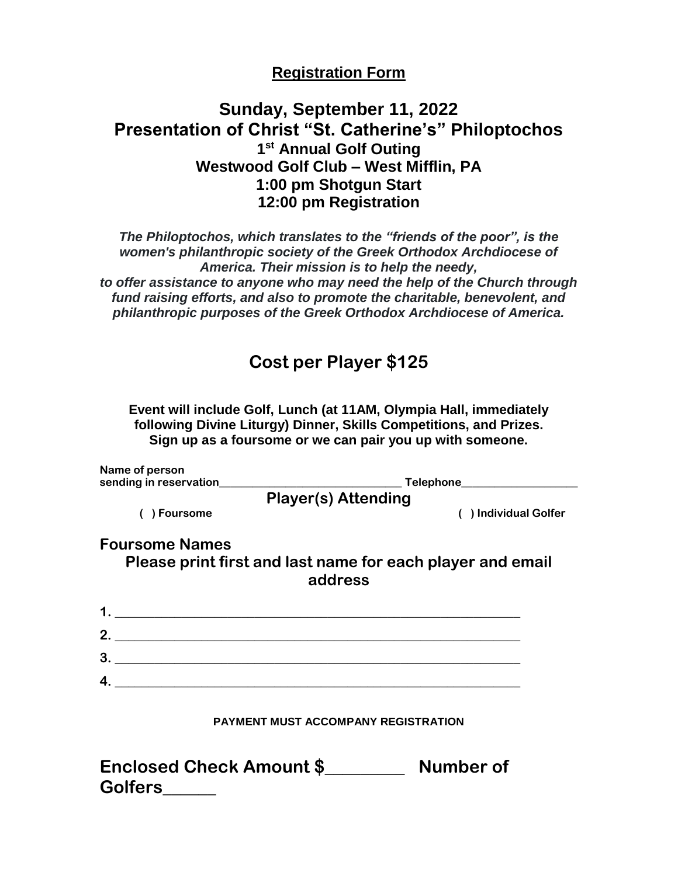#### **Registration Form**

### **Sunday, September 11, 2022 Presentation of Christ "St. Catherine's" Philoptochos 1 st Annual Golf Outing Westwood Golf Club – West Mifflin, PA 1:00 pm Shotgun Start 12:00 pm Registration**

*The Philoptochos, which translates to the "friends of the poor", is the women's philanthropic society of the Greek Orthodox Archdiocese of America. Their mission is to help the needy, to offer assistance to anyone who may need the help of the Church through fund raising efforts, and also to promote the charitable, benevolent, and philanthropic purposes of the Greek Orthodox Archdiocese of America.*

## **Cost per Player \$125**

**Event will include Golf, Lunch (at 11AM, Olympia Hall, immediately following Divine Liturgy) Dinner, Skills Competitions, and Prizes. Sign up as a foursome or we can pair you up with someone.**

| Name of person                                                                                                                  |                                                                       |  |
|---------------------------------------------------------------------------------------------------------------------------------|-----------------------------------------------------------------------|--|
|                                                                                                                                 | ______________Telephone______________________                         |  |
|                                                                                                                                 | <b>Player(s) Attending</b>                                            |  |
| ) Foursome                                                                                                                      | ) Individual Golfer                                                   |  |
| <b>Foursome Names</b>                                                                                                           |                                                                       |  |
|                                                                                                                                 | Please print first and last name for each player and email<br>address |  |
|                                                                                                                                 |                                                                       |  |
| $2_{-}$                                                                                                                         |                                                                       |  |
| $3_{-}$<br><u> 1989 - Johann Stein, mars an deutscher Stein und der Stein und der Stein und der Stein und der Stein und der</u> |                                                                       |  |
|                                                                                                                                 |                                                                       |  |
|                                                                                                                                 |                                                                       |  |
|                                                                                                                                 | <b>PAYMENT MUST ACCOMPANY REGISTRATION</b>                            |  |

| <b>Enclosed Check Amount \$</b> | Number of |
|---------------------------------|-----------|
| <b>Golfers</b>                  |           |